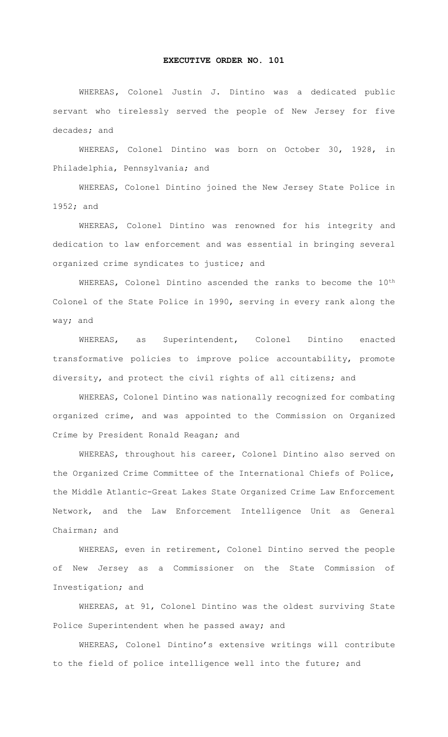## **EXECUTIVE ORDER NO. 101**

 WHEREAS**,** Colonel Justin J. Dintino was a dedicated public servant who tirelessly served the people of New Jersey for five decades; and

WHEREAS**,** Colonel Dintino was born on October 30, 1928, in Philadelphia, Pennsylvania; and

WHEREAS, Colonel Dintino joined the New Jersey State Police in 1952; and

WHEREAS, Colonel Dintino was renowned for his integrity and dedication to law enforcement and was essential in bringing several organized crime syndicates to justice; and

WHEREAS, Colonel Dintino ascended the ranks to become the  $10^{th}$ Colonel of the State Police in 1990, serving in every rank along the way; and

WHEREAS, as Superintendent, Colonel Dintino enacted transformative policies to improve police accountability, promote diversity, and protect the civil rights of all citizens; and

WHEREAS, Colonel Dintino was nationally recognized for combating organized crime, and was appointed to the Commission on Organized Crime by President Ronald Reagan; and

WHEREAS, throughout his career, Colonel Dintino also served on the Organized Crime Committee of the International Chiefs of Police, the Middle Atlantic-Great Lakes State Organized Crime Law Enforcement Network, and the Law Enforcement Intelligence Unit as General Chairman; and

WHEREAS, even in retirement, Colonel Dintino served the people of New Jersey as a Commissioner on the State Commission of Investigation; and

WHEREAS, at 91, Colonel Dintino was the oldest surviving State Police Superintendent when he passed away; and

WHEREAS, Colonel Dintino's extensive writings will contribute to the field of police intelligence well into the future; and